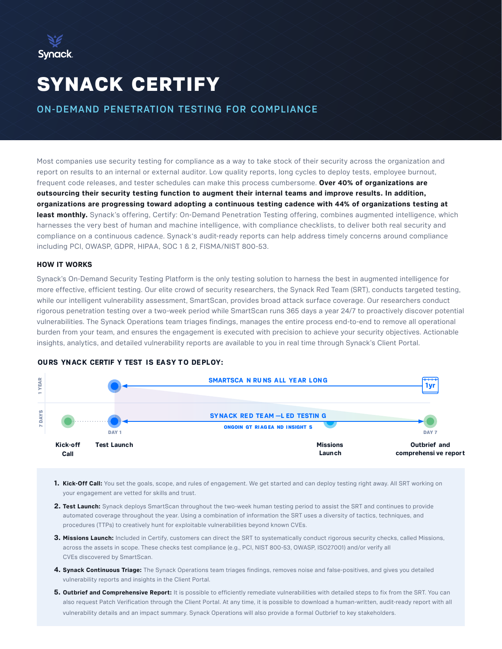

# SYNACK CERTIFY

ON-DEMAND PENETRATION TESTING FOR COMPLIANCE

Most companies use security testing for compliance as a way to take stock of their security across the organization and report on results to an internal or external auditor. Low quality reports, long cycles to deploy tests, employee burnout, frequent code releases, and tester schedules can make this process cumbersome. **Over 40% of organizations are outsourcing their security testing function to augment their internal teams and improve results. In addition, organizations are progressing toward adopting a continuous testing cadence with 44% of organizations testing at least monthly.** Synack's offering, Certify: On-Demand Penetration Testing offering, combines augmented intelligence, which harnesses the very best of human and machine intelligence, with compliance checklists, to deliver both real security and compliance on a continuous cadence. Synack's audit-ready reports can help address timely concerns around compliance including PCI, OWASP, GDPR, HIPAA, SOC 1 & 2, FISMA/NIST 800-53.

#### **HOW IT WORKS**

Synack's On-Demand Security Testing Platform is the only testing solution to harness the best in augmented intelligence for more effective, efficient testing. Our elite crowd of security researchers, the Synack Red Team (SRT), conducts targeted testing, while our intelligent vulnerability assessment, SmartScan, provides broad attack surface coverage. Our researchers conduct rigorous penetration testing over a two-week period while SmartScan runs 365 days a year 24/7 to proactively discover potential vulnerabilities. The Synack Operations team triages findings, manages the entire process end-to-end to remove all operational burden from your team, and ensures the engagement is executed with precision to achieve your security objectives. Actionable insights, analytics, and detailed vulnerability reports are available to you in real time through Synack's Client Portal.



## **OURS YNACK CERTIF Y TEST IS EASY TO DEPLOY:**

- **1. Kick-Off Call:** You set the goals, scope, and rules of engagement. We get started and can deploy testing right away. All SRT working on your engagement are vetted for skills and trust.
- **2. Test Launch:** Synack deploys SmartScan throughout the two-week human testing period to assist the SRT and continues to provide automated coverage throughout the year. Using a combination of information the SRT uses a diversity of tactics, techniques, and procedures (TTPs) to creatively hunt for exploitable vulnerabilities beyond known CVEs.
- **3. Missions Launch:** Included in Certify, customers can direct the SRT to systematically conduct rigorous security checks, called Missions, across the assets in scope. These checks test compliance (e.g., PCI, NIST 800-53, OWASP, ISO27001) and/or verify all CVEs discovered by SmartScan.
- **4. Synack Continuous Triage:** The Synack Operations team triages findings, removes noise and false-positives, and gives you detailed vulnerability reports and insights in the Client Portal.
- **5. Outbrief and Comprehensive Report:** It is possible to efficiently remediate vulnerabilities with detailed steps to fix from the SRT. You can also request Patch Verification through the Client Portal. At any time, it is possible to download a human-written, audit-ready report with all vulnerability details and an impact summary. Synack Operations will also provide a formal Outbrief to key stakeholders.